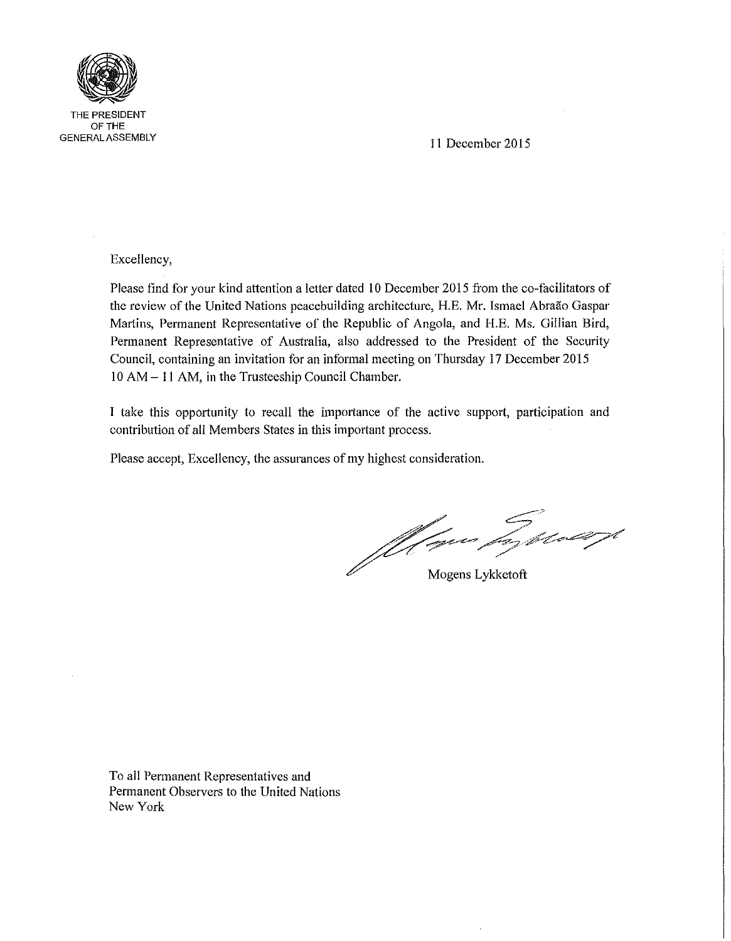

THE PRESIDENT OFTHE GENERAL ASSEMBLY

11 December 2015

Excellency,

Please find for your kind attention a letter dated 10 December 2015 from the co-facilitators of the review of the United Nations peacebuilding architecture, H.E. Mr. Ismael Abraão Gaspar Martins, Permanent Representative of the Republic of Angola, and H.E. Ms. Gillian Bird, Permanent Representative of Australia, also addressed to the President of the Security Council, containing an invitation for an informal meeting on Thursday 17 December 2015 10 AM - 11 AM, in the Trusteeship Council Chamber.

I take this opportunity to recall the importance of the active support, participation and contribution of all Members States in this important process.

Please accept, Excellency, the assurances of my highest consideration.

Mogens Lykketoft

To all Permanent Representatives and Permanent Observers to the United Nations New York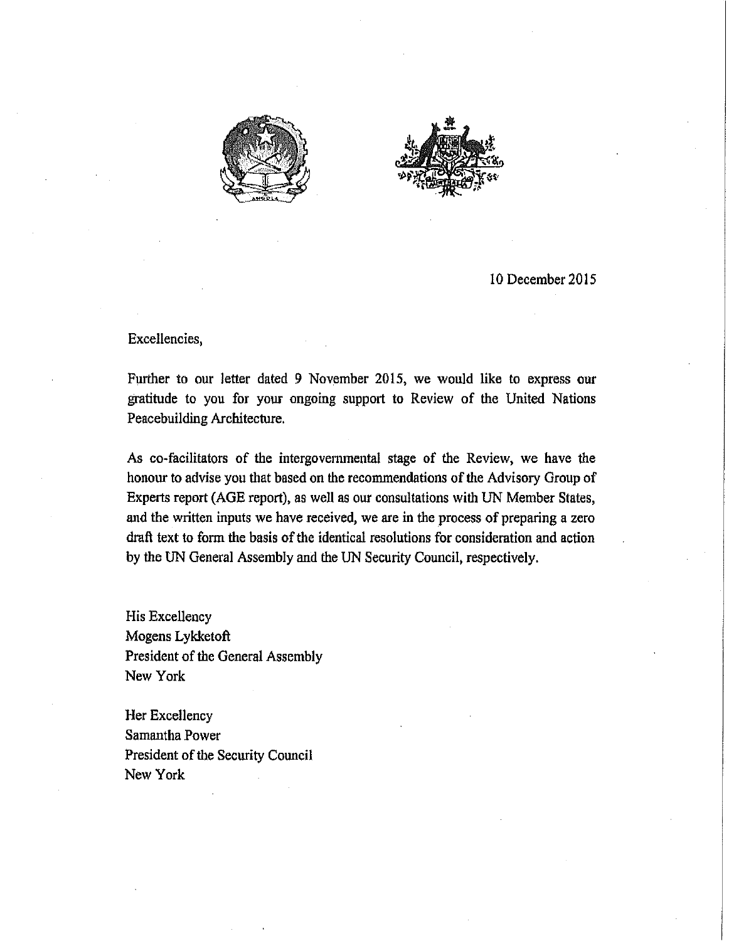



10 December 2015

## Excellencies,

Further to our Jetter dated 9 November 2015, we would like to express our gratitude to you for your ongoing support to Review of the United Nations Peacebuilding Architecture.

As co-facilitators of the intergovernmental stage of the Review, we have the honour to advise you that based on the recommendations of the Advisory Group of Experts report (AGE report), as well as our consultations with UN Member States, and the written inputs we have received, we are in the process of preparing a zero draft text to form the basis of the identical resolutions for consideration and action by the UN General Assembly and the UN Security Council, respectively.

His Excellency Mogens Lykketoft President of the General Assembly New York

Her Excellency Samantha Power President of the Security Council New York